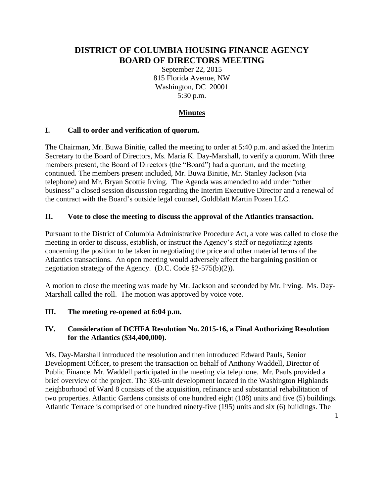# **DISTRICT OF COLUMBIA HOUSING FINANCE AGENCY BOARD OF DIRECTORS MEETING**

September 22, 2015 815 Florida Avenue, NW Washington, DC 20001 5:30 p.m.

# **Minutes**

### **I. Call to order and verification of quorum.**

The Chairman, Mr. Buwa Binitie, called the meeting to order at 5:40 p.m. and asked the Interim Secretary to the Board of Directors, Ms. Maria K. Day-Marshall, to verify a quorum. With three members present, the Board of Directors (the "Board") had a quorum, and the meeting continued. The members present included, Mr. Buwa Binitie, Mr. Stanley Jackson (via telephone) and Mr. Bryan Scottie Irving. The Agenda was amended to add under "other business" a closed session discussion regarding the Interim Executive Director and a renewal of the contract with the Board's outside legal counsel, Goldblatt Martin Pozen LLC.

## **II. Vote to close the meeting to discuss the approval of the Atlantics transaction.**

Pursuant to the District of Columbia Administrative Procedure Act, a vote was called to close the meeting in order to discuss, establish, or instruct the Agency's staff or negotiating agents concerning the position to be taken in negotiating the price and other material terms of the Atlantics transactions. An open meeting would adversely affect the bargaining position or negotiation strategy of the Agency. (D.C. Code §2-575(b)(2)).

A motion to close the meeting was made by Mr. Jackson and seconded by Mr. Irving. Ms. Day-Marshall called the roll. The motion was approved by voice vote.

### **III. The meeting re-opened at 6:04 p.m.**

### **IV. Consideration of DCHFA Resolution No. 2015-16, a Final Authorizing Resolution for the Atlantics (\$34,400,000).**

Ms. Day-Marshall introduced the resolution and then introduced Edward Pauls, Senior Development Officer, to present the transaction on behalf of Anthony Waddell, Director of Public Finance. Mr. Waddell participated in the meeting via telephone. Mr. Pauls provided a brief overview of the project. The 303-unit development located in the Washington Highlands neighborhood of Ward 8 consists of the acquisition, refinance and substantial rehabilitation of two properties. Atlantic Gardens consists of one hundred eight (108) units and five (5) buildings. Atlantic Terrace is comprised of one hundred ninety-five (195) units and six (6) buildings. The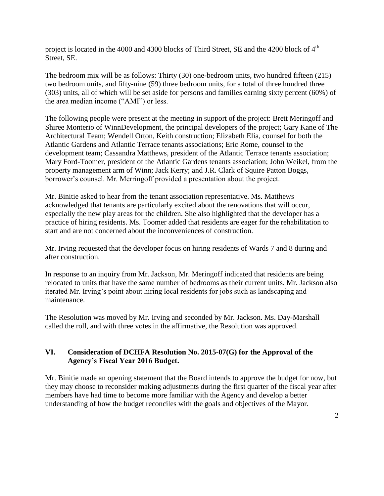project is located in the 4000 and 4300 blocks of Third Street, SE and the 4200 block of 4<sup>th</sup> Street, SE.

The bedroom mix will be as follows: Thirty (30) one-bedroom units, two hundred fifteen (215) two bedroom units, and fifty-nine (59) three bedroom units, for a total of three hundred three (303) units, all of which will be set aside for persons and families earning sixty percent (60%) of the area median income ("AMI") or less.

The following people were present at the meeting in support of the project: Brett Meringoff and Shiree Monterio of WinnDevelopment, the principal developers of the project; Gary Kane of The Architectural Team; Wendell Orton, Keith construction; Elizabeth Elia, counsel for both the Atlantic Gardens and Atlantic Terrace tenants associations; Eric Rome, counsel to the development team; Cassandra Matthews, president of the Atlantic Terrace tenants association; Mary Ford-Toomer, president of the Atlantic Gardens tenants association; John Weikel, from the property management arm of Winn; Jack Kerry; and J.R. Clark of Squire Patton Boggs, borrower's counsel. Mr. Merringoff provided a presentation about the project.

Mr. Binitie asked to hear from the tenant association representative. Ms. Matthews acknowledged that tenants are particularly excited about the renovations that will occur, especially the new play areas for the children. She also highlighted that the developer has a practice of hiring residents. Ms. Toomer added that residents are eager for the rehabilitation to start and are not concerned about the inconveniences of construction.

Mr. Irving requested that the developer focus on hiring residents of Wards 7 and 8 during and after construction.

In response to an inquiry from Mr. Jackson, Mr. Meringoff indicated that residents are being relocated to units that have the same number of bedrooms as their current units. Mr. Jackson also iterated Mr. Irving's point about hiring local residents for jobs such as landscaping and maintenance.

The Resolution was moved by Mr. Irving and seconded by Mr. Jackson. Ms. Day-Marshall called the roll, and with three votes in the affirmative, the Resolution was approved.

### **VI. Consideration of DCHFA Resolution No. 2015-07(G) for the Approval of the Agency's Fiscal Year 2016 Budget.**

Mr. Binitie made an opening statement that the Board intends to approve the budget for now, but they may choose to reconsider making adjustments during the first quarter of the fiscal year after members have had time to become more familiar with the Agency and develop a better understanding of how the budget reconciles with the goals and objectives of the Mayor.